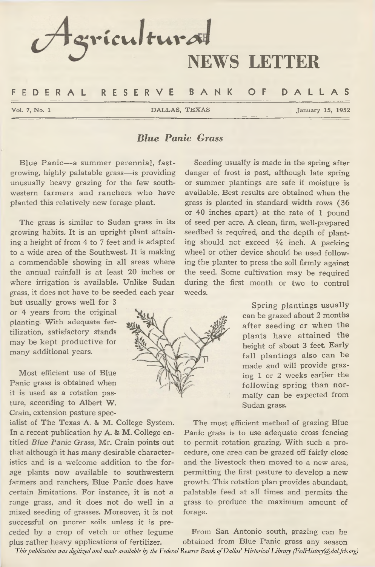

### *Blue Panic Grass*

Blue Panic— a summer perennial, fastgrowing, highly palatable grass— is providing unusually heavy grazing for the few southwestern farmers and ranchers who have planted this relatively new forage plant.

The grass is similar to Sudan grass in its growing habits. It is an upright plant attaining a height of from 4 to 7 feet and is adapted to a wide area of the Southwest. It is making a commendable showing in all areas where the annual rainfall is at least 20 inches or where irrigation is available. Unlike Sudan grass, it does not have to be seeded each year

but usually grows well for 3 or 4 years from the original planting. With adequate fertilization, satisfactory stands may be kept productive for many additional years.

Most efficient use of Blue Panic grass is obtained when it is used as a rotation pasture, according to Albert W. Crain, extension pasture spec-

ialist of The Texas A. & M. College System. In a recent publication by A. & M. College entitled *Blue Panic Grass,* Mr. Crain points out that although it has many desirable characteristics and is a welcome addition to the forage plants now available to southwestern farmers and ranchers, Blue Panic does have certain limitations. For instance, it is not a range grass, and it does not do well in a mixed seeding of grasses. Moreover, it is not successful on poorer soils unless it is preceded by a crop of vetch or other legume plus rather heavy applications of fertilizer.



Seeding usually is made in the spring after danger of frost is past, although late spring or summer plantings are safe if moisture is available. Best results are obtained when the grass is planted in standard width rows (36 or 40 inches apart) at the rate of 1 pound of seed per acre. A clean, firm, well-prepared seedbed is required, and the depth of planting should not exceed *XA* inch. A packing wheel or other device should be used following the planter to press the soil firmly against the seed. Some cultivation may be required during the first month or two to control weeds.

> Spring plantings usually can be grazed about 2 months after seeding or when the plants have attained the height of about 3 feet. Early fall plantings also can be made and will provide grazing 1 or 2 weeks earlier the following spring than normally can be expected from Sudan grass.

The most efficient method of grazing Blue Panic grass is to use adequate cross fencing to permit rotation grazing. With such a procedure, one area can be grazed off fairly close and the livestock then moved to a new area, permitting the first pasture to develop a new growth. This rotation plan provides abundant, palatable feed at all times and permits the grass to produce the maximum amount of forage.

From San Antonio south, grazing can be obtained from Blue Panic grass any season *This publication was digitized and made available by the Federal Reserve Bank of Dallas' Historical Library (FedHistory@dal.frb.org)*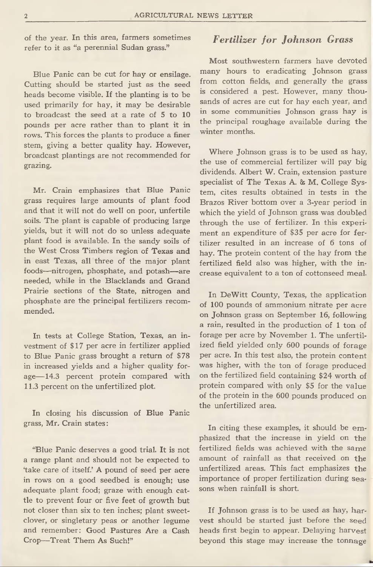of the year. In this area, farmers sometimes refer to it as "a perennial Sudan grass."

Blue Panic can be cut for hay or ensilage. Cutting should be started just as the seed heads become visible. If the planting is to be used primarily for hay, it may be desirable to broadcast the seed at a rate of 5 to 10 pounds per acre rather than to plant it in rows. This forces the plants to produce a finer stem, giving a better quality hay. However, broadcast plantings are not recommended for grazing.

Mr. Crain emphasizes that Blue Panic grass requires large amounts of plant food and that it will not do well on poor, unfertile soils. The plant is capable of producing large yields, but it will not do so unless adequate plant food is available. In the sandy soils of the West Cross Timbers region of Texas and in east Texas, all three of the major plant foods— nitrogen, phosphate, and potash— are needed, while in the Blacklands and Grand Prairie sections of the State, nitrogen and phosphate are the principal fertilizers recommended.

In tests at College Station, Texas, an investment of \$17 per acre in fertilizer applied to Blue Panic grass brought a return of \$78 in increased yields and a higher quality forage— 14.3 percent protein compared with 11.3 percent on the unfertilized plot.

In closing his discussion of Blue Panic grass, Mr, Crain states:

"Blue Panic deserves a good trial. It is not a range plant and should not be expected to 'take care of itself.' A pound of seed per acre in rows on a good seedbed is enough; use adequate plant food; graze with enough cattle to prevent four or five feet of growth but not closer than six to ten inches; plant sweetclover, or singletary peas or another legume and remember: Good Pastures Are a Cash Crop— Treat Them As Such!"

## *Fertilizer for Johnson Grass*

Most southwestern farmers have devoted many hours to eradicating Johnson grass from cotton fields, and generally the grass is considered a pest. However, many thousands of acres are cut for hay each year, and in some communities Johnson grass hay is the principal roughage available during the winter months.

Where Johnson grass is to be used as hay, the use of commercial fertilizer will pay big dividends. Albert W. Crain, extension pasture specialist of The Texas A. & M. College System, cites results obtained in tests in the Brazos River bottom over a 3-year period in which the yield of Johnson grass was doubled through the use of fertilizer. In this experiment an expenditure of \$35 per acre for fertilizer resulted in an increase of 6 tons of hay. The protein content of the hay from the fertilized field also was higher, with the increase equivalent to a ton of cottonseed meal.

In DeWitt County, Texas, the application of 100 pounds of ammonium nitrate per acre on Johnson grass on September 16, following a rain, resulted in the production of 1 ton of forage per acre by November 1. The unfertilized field yielded only 600 pounds of forage per acre. In this test also, the protein content was higher, with the ton of forage produced on the fertilized field containing \$24 worth of protein compared with only \$5 for the value of the protein in the 600 pounds produced on the unfertilized area.

In citing these examples, it should be emphasized that the increase in yield on the fertilized fields was achieved with the same amount of rainfall as that received on the unfertilized areas. This fact emphasizes the importance of proper fertilization during seasons when rainfall is short.

If Johnson grass is to be used as hay, harvest should be started just before the seed heads first begin to appear. Delaying harvest beyond this stage may increase the tonnage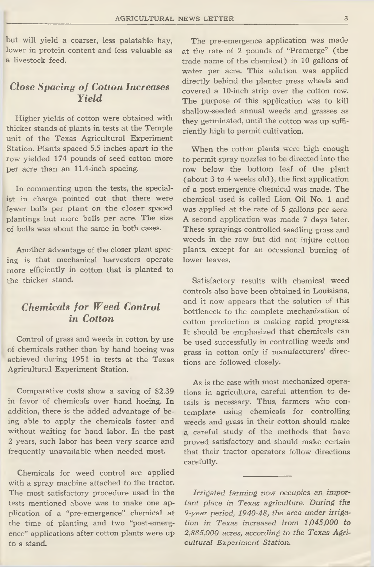but will yield a coarser, less palatable hay, lower in protein content and less valuable as a livestock feed.

#### *Close Spacing of Cotton Increases Yield*

Higher yields of cotton were obtained with thicker stands of plants in tests at the Temple unit of the Texas Agricultural Experiment Station, Plants spaced 5.5 inches apart in the row yielded 174 pounds of seed cotton more per acre than an 11.4-inch spacing.

In commenting upon the tests, the specialist in charge pointed out that there were fewer bolls per plant on the closer spaced plantings but more bolls per acre. The size of bolls was about the same in both cases.

Another advantage of the closer plant spacing is that mechanical harvesters operate more efficiently in cotton that is planted to the thicker stand.

## *Chemicals for Weed Control in Cotton*

Control of grass and weeds in cotton by use of chemicals rather than by hand hoeing was achieved during 1951 in tests at the Texas Agricultural Experiment Station.

Comparative costs show a saving of \$2.39 in favor of chemicals over hand hoeing. In addition, there is the added advantage of being able to apply the chemicals faster and without waiting for hand labor. In the past 2 years, such labor has been very scarce and frequently unavailable when needed most.

Chemicals for weed control are applied with a spray machine attached to the tractor. The most satisfactory procedure used in the tests mentioned above was to make one application of a "pre-emergence" chemical at the time of planting and two "post-emergence" applications after cotton plants were up to a stand.

The pre-emergence application was made at the rate of 2 pounds of "Premerge" (the trade name of the chemical) in 10 gallons of water per acre. This solution was applied directly behind the planter press wheels and covered a 10-inch strip over the cotton row. The purpose of this application was to kill shallow-seeded annual weeds and grasses as they germinated, until the cotton was up sufficiently high to permit cultivation.

When the cotton plants were high enough to permit spray nozzles to be directed into the row below the bottom leaf of the plant (about 3 to 4 weeks old), the first application of a post-emergence chemical was made. The chemical used is called Lion Oil No. 1 and was applied at the rate of 5 gallons per acre. A second application was made 7 days later. These sprayings controlled seedling grass and weeds in the row but did not injure cotton plants, except for an occasional burning of lower leaves.

Satisfactory results with chemical weed controls also have been obtained in Louisiana, and it now appears that the solution of this bottleneck to the complete mechanization of cotton production is making rapid progress. It should be emphasized that chemicals can be used successfully in controlling weeds and grass in cotton only if manufacturers' directions are followed closely.

As is the case with most mechanized operations in agriculture, careful attention to details is necessary. Thus, farmers who contemplate using chemicals for controlling weeds and grass in their cotton should make a careful study of the methods that have proved satisfactory and should make certain that their tractor operators follow directions carefully.

*Irrigated farming now occupies an important place in Texas agriculture. During the 9-year period, 1940-48, the area under irrigation in Texas increased from 1,045,000 to 2,885,000 acres, according to the Texas Agricultural Experiment Station.*